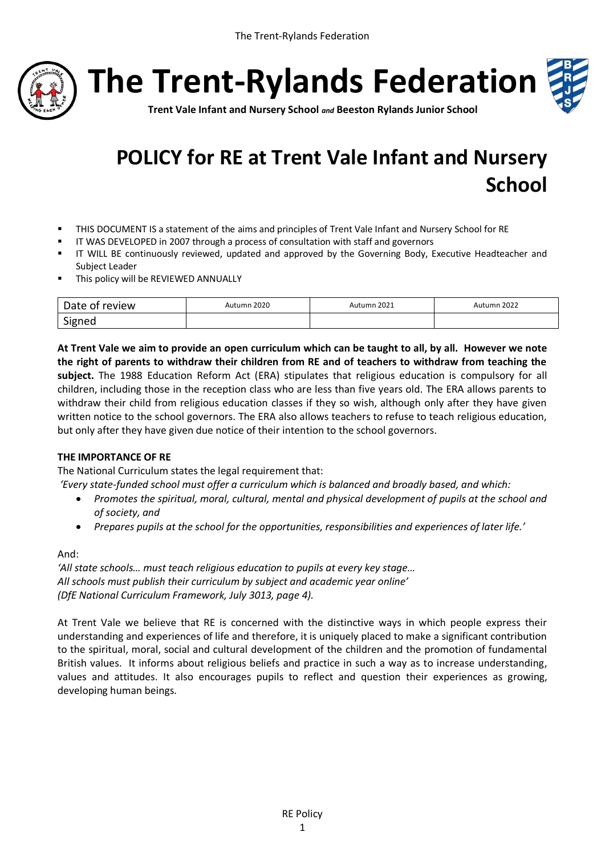

**The Trent-Rylands Federation**



**Trent Vale Infant and Nursery School** *and* **Beeston Rylands Junior School**

# **POLICY for RE at Trent Vale Infant and Nursery School**

- THIS DOCUMENT IS a statement of the aims and principles of Trent Vale Infant and Nursery School for RE
- IT WAS DEVELOPED in 2007 through a process of consultation with staff and governors
- **IIT WILL BE continuously reviewed, updated and approved by the Governing Body, Executive Headteacher and** Subject Leader
- **This policy will be REVIEWED ANNUALLY**

| review<br>$-1$<br>Dale of | 2020<br>umn | 2021<br>Autumn | 2022<br>utumn |
|---------------------------|-------------|----------------|---------------|
| Signea                    |             |                |               |

**At Trent Vale we aim to provide an open curriculum which can be taught to all, by all. However we note the right of parents to withdraw their children from RE and of teachers to withdraw from teaching the subject.** The 1988 Education Reform Act (ERA) stipulates that religious education is compulsory for all children, including those in the reception class who are less than five years old. The ERA allows parents to withdraw their child from religious education classes if they so wish, although only after they have given written notice to the school governors. The ERA also allows teachers to refuse to teach religious education, but only after they have given due notice of their intention to the school governors.

### **THE IMPORTANCE OF RE**

The National Curriculum states the legal requirement that:

*'Every state-funded school must offer a curriculum which is balanced and broadly based, and which:*

- *Promotes the spiritual, moral, cultural, mental and physical development of pupils at the school and of society, and*
- *Prepares pupils at the school for the opportunities, responsibilities and experiences of later life.'*

And:

*'All state schools… must teach religious education to pupils at every key stage… All schools must publish their curriculum by subject and academic year online' (DfE National Curriculum Framework, July 3013, page 4).*

At Trent Vale we believe that RE is concerned with the distinctive ways in which people express their understanding and experiences of life and therefore, it is uniquely placed to make a significant contribution to the spiritual, moral, social and cultural development of the children and the promotion of fundamental British values. It informs about religious beliefs and practice in such a way as to increase understanding, values and attitudes. It also encourages pupils to reflect and question their experiences as growing, developing human beings.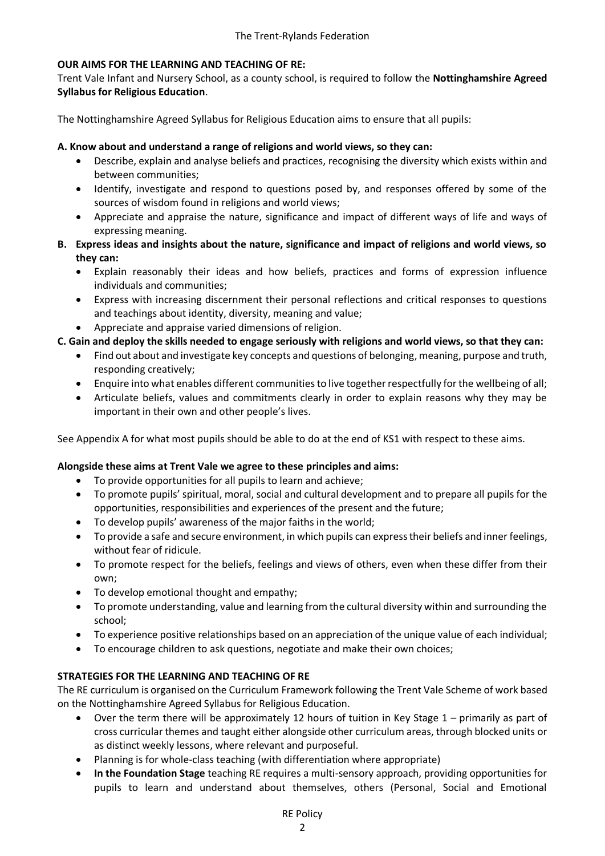## **OUR AIMS FOR THE LEARNING AND TEACHING OF RE:**

Trent Vale Infant and Nursery School, as a county school, is required to follow the **Nottinghamshire Agreed Syllabus for Religious Education**.

The Nottinghamshire Agreed Syllabus for Religious Education aims to ensure that all pupils:

## **A. Know about and understand a range of religions and world views, so they can:**

- Describe, explain and analyse beliefs and practices, recognising the diversity which exists within and between communities;
- Identify, investigate and respond to questions posed by, and responses offered by some of the sources of wisdom found in religions and world views;
- Appreciate and appraise the nature, significance and impact of different ways of life and ways of expressing meaning.
- **B. Express ideas and insights about the nature, significance and impact of religions and world views, so they can:**
	- Explain reasonably their ideas and how beliefs, practices and forms of expression influence individuals and communities;
	- Express with increasing discernment their personal reflections and critical responses to questions and teachings about identity, diversity, meaning and value;
	- Appreciate and appraise varied dimensions of religion.

## **C. Gain and deploy the skills needed to engage seriously with religions and world views, so that they can:**

- Find out about and investigate key concepts and questions of belonging, meaning, purpose and truth, responding creatively;
- Enquire into what enables different communities to live together respectfully for the wellbeing of all;
- Articulate beliefs, values and commitments clearly in order to explain reasons why they may be important in their own and other people's lives.

See Appendix A for what most pupils should be able to do at the end of KS1 with respect to these aims.

### **Alongside these aims at Trent Vale we agree to these principles and aims:**

- To provide opportunities for all pupils to learn and achieve;
- To promote pupils' spiritual, moral, social and cultural development and to prepare all pupils for the opportunities, responsibilities and experiences of the present and the future;
- To develop pupils' awareness of the major faiths in the world;
- To provide a safe and secure environment, in which pupils can expresstheir beliefs and inner feelings, without fear of ridicule.
- To promote respect for the beliefs, feelings and views of others, even when these differ from their own;
- To develop emotional thought and empathy;
- To promote understanding, value and learning from the cultural diversity within and surrounding the school;
- To experience positive relationships based on an appreciation of the unique value of each individual;
- To encourage children to ask questions, negotiate and make their own choices;

### **STRATEGIES FOR THE LEARNING AND TEACHING OF RE**

The RE curriculum is organised on the Curriculum Framework following the Trent Vale Scheme of work based on the Nottinghamshire Agreed Syllabus for Religious Education.

- Over the term there will be approximately 12 hours of tuition in Key Stage 1 primarily as part of cross curricular themes and taught either alongside other curriculum areas, through blocked units or as distinct weekly lessons, where relevant and purposeful.
- Planning is for whole-class teaching (with differentiation where appropriate)
- **In the Foundation Stage** teaching RE requires a multi-sensory approach, providing opportunities for pupils to learn and understand about themselves, others (Personal, Social and Emotional